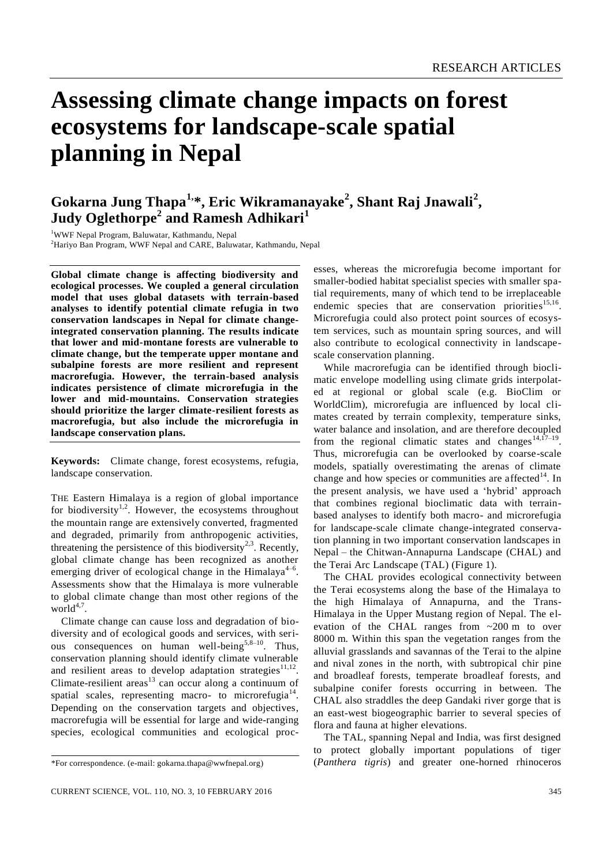# **Assessing climate change impacts on forest ecosystems for landscape-scale spatial planning in Nepal**

# **Gokarna Jung Thapa1,\*, Eric Wikramanayake<sup>2</sup> , Shant Raj Jnawali<sup>2</sup> , Judy Oglethorpe<sup>2</sup> and Ramesh Adhikari<sup>1</sup>**

<sup>1</sup>WWF Nepal Program, Baluwatar, Kathmandu, Nepal <sup>2</sup>Hariyo Ban Program, WWF Nepal and CARE, Baluwatar, Kathmandu, Nepal

**Global climate change is affecting biodiversity and ecological processes. We coupled a general circulation model that uses global datasets with terrain-based analyses to identify potential climate refugia in two conservation landscapes in Nepal for climate changeintegrated conservation planning. The results indicate that lower and mid-montane forests are vulnerable to climate change, but the temperate upper montane and subalpine forests are more resilient and represent macrorefugia. However, the terrain-based analysis indicates persistence of climate microrefugia in the lower and mid-mountains. Conservation strategies should prioritize the larger climate-resilient forests as macrorefugia, but also include the microrefugia in landscape conservation plans.**

**Keywords:** Climate change, forest ecosystems, refugia, landscape conservation.

THE Eastern Himalaya is a region of global importance for biodiversity<sup>1,2</sup>. However, the ecosystems throughout the mountain range are extensively converted, fragmented and degraded, primarily from anthropogenic activities, threatening the persistence of this biodiversity<sup>2,3</sup>. Recently, global climate change has been recognized as another emerging driver of ecological change in the Himalaya<sup>4-6</sup>. Assessments show that the Himalaya is more vulnerable to global climate change than most other regions of the  $world<sup>4,7</sup>$ .

Climate change can cause loss and degradation of biodiversity and of ecological goods and services, with serious consequences on human well-being<sup>5,8–10</sup>. Thus, conservation planning should identify climate vulnerable and resilient areas to develop adaptation strategies $11,12$ . Climate-resilient areas<sup>13</sup> can occur along a continuum of spatial scales, representing macro- to microrefugia<sup>14</sup>. Depending on the conservation targets and objectives, macrorefugia will be essential for large and wide-ranging species, ecological communities and ecological processes, whereas the microrefugia become important for smaller-bodied habitat specialist species with smaller spatial requirements, many of which tend to be irreplaceable endemic species that are conservation priorities<sup>15,16</sup>. Microrefugia could also protect point sources of ecosystem services, such as mountain spring sources, and will also contribute to ecological connectivity in landscapescale conservation planning.

While macrorefugia can be identified through bioclimatic envelope modelling using climate grids interpolated at regional or global scale (e.g. BioClim or WorldClim), microrefugia are influenced by local climates created by terrain complexity, temperature sinks, water balance and insolation, and are therefore decoupled from the regional climatic states and changes<sup>14,17-19</sup>. Thus, microrefugia can be overlooked by coarse-scale models, spatially overestimating the arenas of climate change and how species or communities are affected<sup>14</sup>. In the present analysis, we have used a 'hybrid' approach that combines regional bioclimatic data with terrainbased analyses to identify both macro- and microrefugia for landscape-scale climate change-integrated conservation planning in two important conservation landscapes in Nepal – the Chitwan-Annapurna Landscape (CHAL) and the Terai Arc Landscape (TAL) (Figure 1).

The CHAL provides ecological connectivity between the Terai ecosystems along the base of the Himalaya to the high Himalaya of Annapurna, and the Trans-Himalaya in the Upper Mustang region of Nepal. The elevation of the CHAL ranges from ~200 m to over 8000 m. Within this span the vegetation ranges from the alluvial grasslands and savannas of the Terai to the alpine and nival zones in the north, with subtropical chir pine and broadleaf forests, temperate broadleaf forests, and subalpine conifer forests occurring in between. The CHAL also straddles the deep Gandaki river gorge that is an east-west biogeographic barrier to several species of flora and fauna at higher elevations.

The TAL, spanning Nepal and India, was first designed to protect globally important populations of tiger (*Panthera tigris*) and greater one-horned rhinoceros

<sup>\*</sup>For correspondence. (e-mail: gokarna.thapa@wwfnepal.org)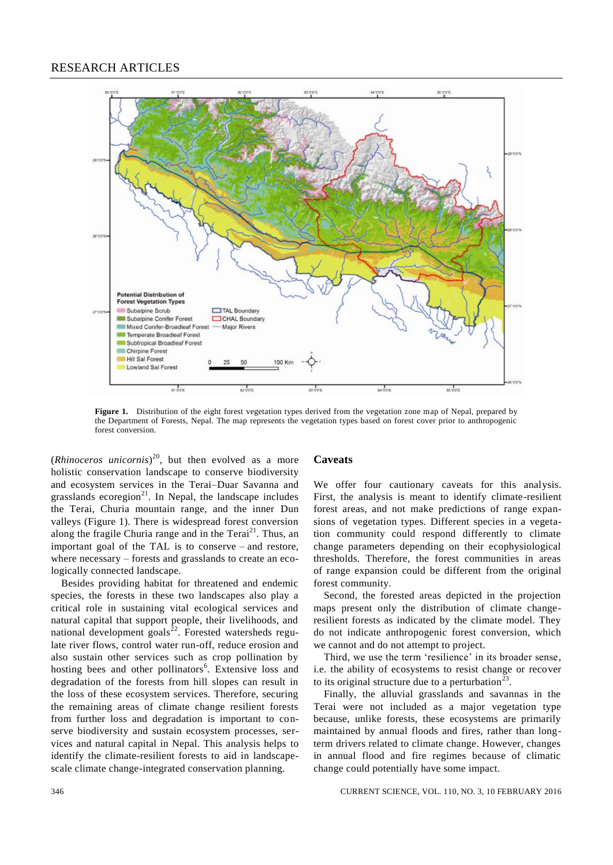# RESEARCH ARTICLES



**Figure 1.** Distribution of the eight forest vegetation types derived from the vegetation zone map of Nepal, prepared by the Department of Forests, Nepal. The map represents the vegetation types based on forest cover prior to anthropogenic forest conversion.

(*Rhinoceros unicornis*) <sup>20</sup>, but then evolved as a more holistic conservation landscape to conserve biodiversity and ecosystem services in the Terai–Duar Savanna and grasslands ecoregion<sup>21</sup>. In Nepal, the landscape includes the Terai, Churia mountain range, and the inner Dun valleys (Figure 1). There is widespread forest conversion along the fragile Churia range and in the Terai $^{21}$ . Thus, an important goal of the TAL is to conserve – and restore, where necessary – forests and grasslands to create an ecologically connected landscape.

Besides providing habitat for threatened and endemic species, the forests in these two landscapes also play a critical role in sustaining vital ecological services and natural capital that support people, their livelihoods, and national development goals $^{22}$ . Forested watersheds regulate river flows, control water run-off, reduce erosion and also sustain other services such as crop pollination by hosting bees and other pollinators<sup>6</sup>. Extensive loss and degradation of the forests from hill slopes can result in the loss of these ecosystem services. Therefore, securing the remaining areas of climate change resilient forests from further loss and degradation is important to conserve biodiversity and sustain ecosystem processes, services and natural capital in Nepal. This analysis helps to identify the climate-resilient forests to aid in landscapescale climate change-integrated conservation planning.

#### **Caveats**

We offer four cautionary caveats for this analysis. First, the analysis is meant to identify climate-resilient forest areas, and not make predictions of range expansions of vegetation types. Different species in a vegetation community could respond differently to climate change parameters depending on their ecophysiological thresholds. Therefore, the forest communities in areas of range expansion could be different from the original forest community.

Second, the forested areas depicted in the projection maps present only the distribution of climate changeresilient forests as indicated by the climate model. They do not indicate anthropogenic forest conversion, which we cannot and do not attempt to project.

Third, we use the term 'resilience' in its broader sense, i.e. the ability of ecosystems to resist change or recover to its original structure due to a perturbation<sup>23</sup>.

Finally, the alluvial grasslands and savannas in the Terai were not included as a major vegetation type because, unlike forests, these ecosystems are primarily maintained by annual floods and fires, rather than longterm drivers related to climate change. However, changes in annual flood and fire regimes because of climatic change could potentially have some impact.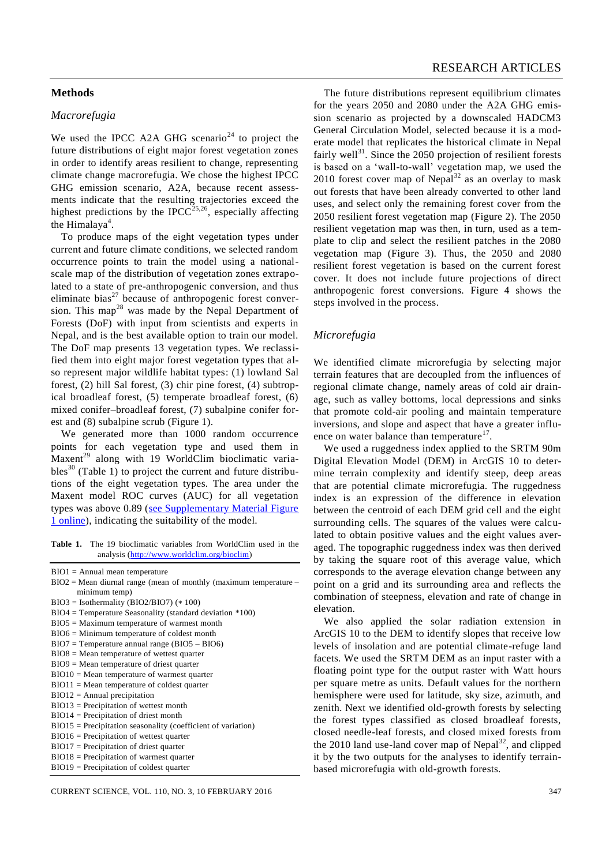# **Methods**

#### *Macrorefugia*

We used the IPCC A2A GHG scenario<sup>24</sup> to project the future distributions of eight major forest vegetation zones in order to identify areas resilient to change, representing climate change macrorefugia. We chose the highest IPCC GHG emission scenario, A2A, because recent assessments indicate that the resulting trajectories exceed the highest predictions by the IPCC<sup>25,26</sup>, especially affecting the Himalaya<sup>4</sup>.

To produce maps of the eight vegetation types under current and future climate conditions, we selected random occurrence points to train the model using a nationalscale map of the distribution of vegetation zones extrapolated to a state of pre-anthropogenic conversion, and thus eliminate bias<sup>27</sup> because of anthropogenic forest conversion. This map<sup>28</sup> was made by the Nepal Department of Forests (DoF) with input from scientists and experts in Nepal, and is the best available option to train our model. The DoF map presents 13 vegetation types. We reclassified them into eight major forest vegetation types that also represent major wildlife habitat types: (1) lowland Sal forest, (2) hill Sal forest, (3) chir pine forest, (4) subtropical broadleaf forest, (5) temperate broadleaf forest, (6) mixed conifer–broadleaf forest, (7) subalpine conifer forest and (8) subalpine scrub (Figure 1).

We generated more than 1000 random occurrence points for each vegetation type and used them in Maxent<sup>29</sup> along with 19 WorldClim bioclimatic variables<sup>30</sup> (Table 1) to project the current and future distributions of the eight vegetation types. The area under the Maxent model ROC curves (AUC) for all vegetation types was above 0.89 [\(see Supplementary Material Figure](http://www.currentscience.ac.in/Volumes/110/03/0345-suppl.pdf) [1 online\)](http://www.currentscience.ac.in/Volumes/110/03/0345-suppl.pdf), indicating the suitability of the model.

**Table 1.** The 19 bioclimatic variables from WorldClim used in the analysis (http://www.worldclim.org/bioclim)

- BIO1 = Annual mean temperature
- $BIO2 = Mean$  diurnal range (mean of monthly (maximum temperature minimum temp)
- BIO3 = Isothermality (BIO2/BIO7) (\* 100)
- BIO4 = Temperature Seasonality (standard deviation \*100)
- BIO5 = Maximum temperature of warmest month
- BIO6 = Minimum temperature of coldest month
- BIO7 = Temperature annual range (BIO5 BIO6)
- BIO8 = Mean temperature of wettest quarter
- BIO9 = Mean temperature of driest quarter BIO10 = Mean temperature of warmest quarter
- BIO11 = Mean temperature of coldest quarter
- BIO12 = Annual precipitation
- BIO13 = Precipitation of wettest month
- BIO14 = Precipitation of driest month
- BIO15 = Precipitation seasonality (coefficient of variation)
- BIO16 = Precipitation of wettest quarter
- BIO17 = Precipitation of driest quarter
- BIO18 = Precipitation of warmest quarter
- BIO19 = Precipitation of coldest quarter

The future distributions represent equilibrium climates for the years 2050 and 2080 under the A2A GHG emission scenario as projected by a downscaled HADCM3 General Circulation Model, selected because it is a moderate model that replicates the historical climate in Nepal fairly well<sup>31</sup>. Since the 2050 projection of resilient forests is based on a 'wall-to-wall' vegetation map, we used the 2010 forest cover map of Nepal $^{32}$  as an overlay to mask out forests that have been already converted to other land uses, and select only the remaining forest cover from the 2050 resilient forest vegetation map (Figure 2). The 2050 resilient vegetation map was then, in turn, used as a template to clip and select the resilient patches in the 2080 vegetation map (Figure 3). Thus, the 2050 and 2080 resilient forest vegetation is based on the current forest cover. It does not include future projections of direct anthropogenic forest conversions. Figure 4 shows the steps involved in the process.

#### *Microrefugia*

We identified climate microrefugia by selecting major terrain features that are decoupled from the influences of regional climate change, namely areas of cold air drainage, such as valley bottoms, local depressions and sinks that promote cold-air pooling and maintain temperature inversions, and slope and aspect that have a greater influence on water balance than temperature $17$ .

We used a ruggedness index applied to the SRTM 90m Digital Elevation Model (DEM) in ArcGIS 10 to determine terrain complexity and identify steep, deep areas that are potential climate microrefugia. The ruggedness index is an expression of the difference in elevation between the centroid of each DEM grid cell and the eight surrounding cells. The squares of the values were calculated to obtain positive values and the eight values averaged. The topographic ruggedness index was then derived by taking the square root of this average value, which corresponds to the average elevation change between any point on a grid and its surrounding area and reflects the combination of steepness, elevation and rate of change in elevation.

We also applied the solar radiation extension in ArcGIS 10 to the DEM to identify slopes that receive low levels of insolation and are potential climate-refuge land facets. We used the SRTM DEM as an input raster with a floating point type for the output raster with Watt hours per square metre as units. Default values for the northern hemisphere were used for latitude, sky size, azimuth, and zenith. Next we identified old-growth forests by selecting the forest types classified as closed broadleaf forests, closed needle-leaf forests, and closed mixed forests from the 2010 land use-land cover map of Nepal<sup>32</sup>, and clipped it by the two outputs for the analyses to identify terrainbased microrefugia with old-growth forests.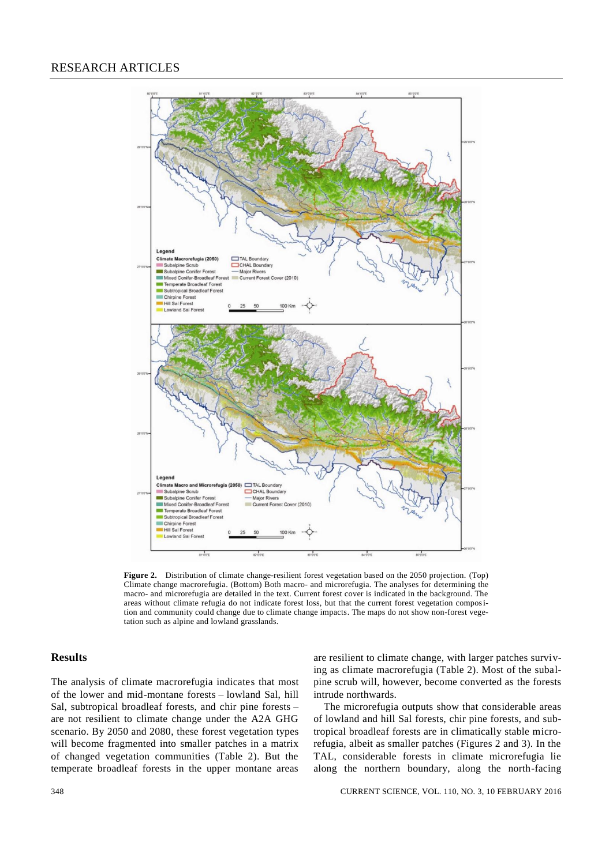

**Figure 2.** Distribution of climate change-resilient forest vegetation based on the 2050 projection. (Top) Climate change macrorefugia. (Bottom) Both macro- and microrefugia. The analyses for determining the macro- and microrefugia are detailed in the text. Current forest cover is indicated in the background. The areas without climate refugia do not indicate forest loss, but that the current forest vegetation composition and community could change due to climate change impacts. The maps do not show non-forest vegetation such as alpine and lowland grasslands.

# **Results**

The analysis of climate macrorefugia indicates that most of the lower and mid-montane forests – lowland Sal, hill Sal, subtropical broadleaf forests, and chir pine forests – are not resilient to climate change under the A2A GHG scenario. By 2050 and 2080, these forest vegetation types will become fragmented into smaller patches in a matrix of changed vegetation communities (Table 2). But the temperate broadleaf forests in the upper montane areas are resilient to climate change, with larger patches surviving as climate macrorefugia (Table 2). Most of the subalpine scrub will, however, become converted as the forests intrude northwards.

The microrefugia outputs show that considerable areas of lowland and hill Sal forests, chir pine forests, and subtropical broadleaf forests are in climatically stable microrefugia, albeit as smaller patches (Figures 2 and 3). In the TAL, considerable forests in climate microrefugia lie along the northern boundary, along the north-facing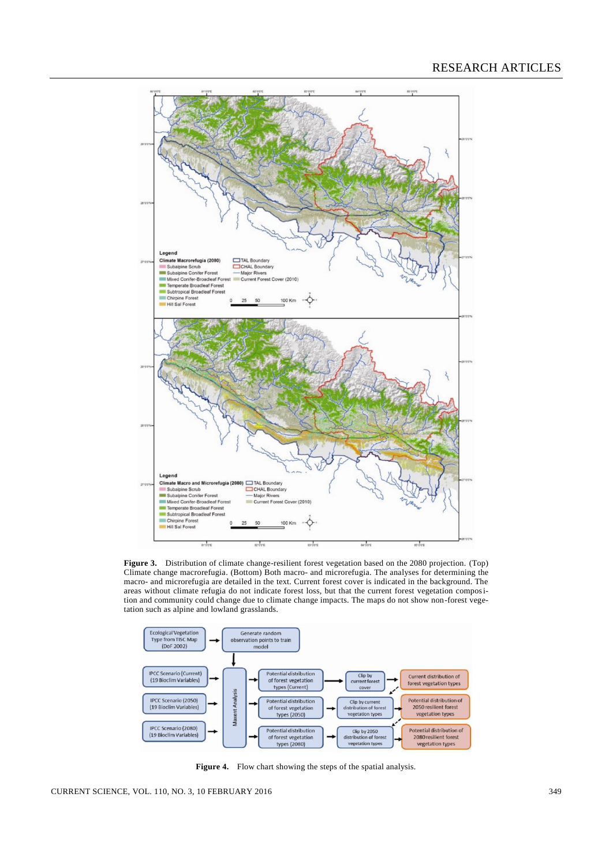

**Figure 3.** Distribution of climate change-resilient forest vegetation based on the 2080 projection. (Top) Climate change macrorefugia. (Bottom) Both macro- and microrefugia. The analyses for determining the macro- and microrefugia are detailed in the text. Current forest cover is indicated in the background. The areas without climate refugia do not indicate forest loss, but that the current forest vegetation composition and community could change due to climate change impacts. The maps do not show non-forest vegetation such as alpine and lowland grasslands.



**Figure 4.** Flow chart showing the steps of the spatial analysis.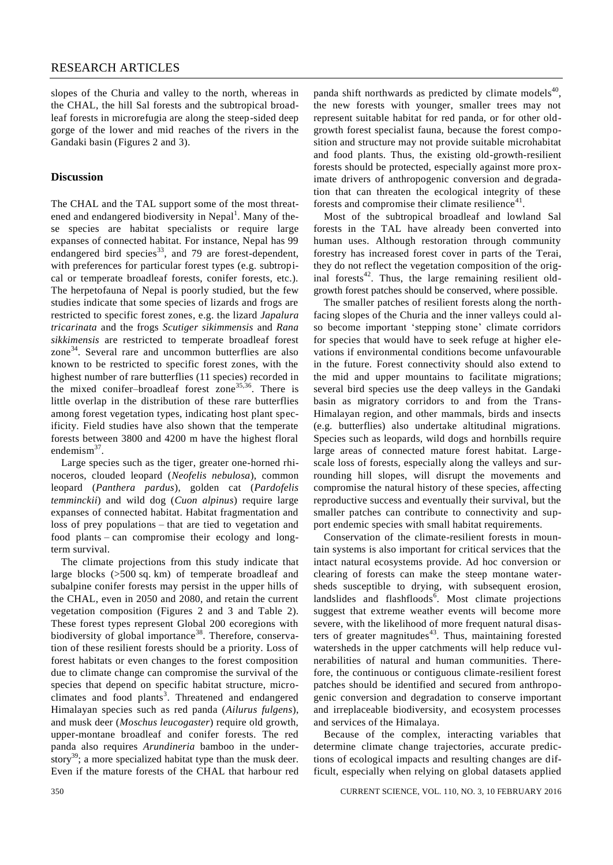slopes of the Churia and valley to the north, whereas in the CHAL, the hill Sal forests and the subtropical broadleaf forests in microrefugia are along the steep-sided deep gorge of the lower and mid reaches of the rivers in the Gandaki basin (Figures 2 and 3).

### **Discussion**

The CHAL and the TAL support some of the most threatened and endangered biodiversity in Nepal<sup>1</sup>. Many of these species are habitat specialists or require large expanses of connected habitat. For instance, Nepal has 99 endangered bird species<sup>33</sup>, and 79 are forest-dependent, with preferences for particular forest types (e.g. subtropical or temperate broadleaf forests, conifer forests, etc.). The herpetofauna of Nepal is poorly studied, but the few studies indicate that some species of lizards and frogs are restricted to specific forest zones, e.g. the lizard *Japalura tricarinata* and the frogs *Scutiger sikimmensis* and *Rana sikkimensis* are restricted to temperate broadleaf forest zone<sup>34</sup>. Several rare and uncommon butterflies are also known to be restricted to specific forest zones, with the highest number of rare butterflies (11 species) recorded in the mixed conifer–broadleaf forest zone<sup>35,36</sup>. There is little overlap in the distribution of these rare butterflies among forest vegetation types, indicating host plant specificity. Field studies have also shown that the temperate forests between 3800 and 4200 m have the highest floral endemism $37$ .

Large species such as the tiger, greater one-horned rhinoceros, clouded leopard (*Neofelis nebulosa*), common leopard (*Panthera pardus*), golden cat (*Pardofelis temminckii*) and wild dog (*Cuon alpinus*) require large expanses of connected habitat. Habitat fragmentation and loss of prey populations – that are tied to vegetation and food plants – can compromise their ecology and longterm survival.

The climate projections from this study indicate that large blocks (>500 sq. km) of temperate broadleaf and subalpine conifer forests may persist in the upper hills of the CHAL, even in 2050 and 2080, and retain the current vegetation composition (Figures 2 and 3 and Table 2). These forest types represent Global 200 ecoregions with biodiversity of global importance<sup>38</sup>. Therefore, conservation of these resilient forests should be a priority. Loss of forest habitats or even changes to the forest composition due to climate change can compromise the survival of the species that depend on specific habitat structure, microclimates and food plants<sup>3</sup>. Threatened and endangered Himalayan species such as red panda (*Ailurus fulgens*), and musk deer (*Moschus leucogaster*) require old growth, upper-montane broadleaf and conifer forests. The red panda also requires *Arundineria* bamboo in the understory<sup>39</sup>; a more specialized habitat type than the musk deer. Even if the mature forests of the CHAL that harbour red

panda shift northwards as predicted by climate models<sup>40</sup>, the new forests with younger, smaller trees may not represent suitable habitat for red panda, or for other oldgrowth forest specialist fauna, because the forest composition and structure may not provide suitable microhabitat and food plants. Thus, the existing old-growth-resilient forests should be protected, especially against more proximate drivers of anthropogenic conversion and degradation that can threaten the ecological integrity of these forests and compromise their climate resilience $41$ .

Most of the subtropical broadleaf and lowland Sal forests in the TAL have already been converted into human uses. Although restoration through community forestry has increased forest cover in parts of the Terai, they do not reflect the vegetation composition of the original forests<sup>42</sup>. Thus, the large remaining resilient oldgrowth forest patches should be conserved, where possible.

The smaller patches of resilient forests along the northfacing slopes of the Churia and the inner valleys could also become important 'stepping stone' climate corridors for species that would have to seek refuge at higher elevations if environmental conditions become unfavourable in the future. Forest connectivity should also extend to the mid and upper mountains to facilitate migrations; several bird species use the deep valleys in the Gandaki basin as migratory corridors to and from the Trans-Himalayan region, and other mammals, birds and insects (e.g. butterflies) also undertake altitudinal migrations. Species such as leopards, wild dogs and hornbills require large areas of connected mature forest habitat. Largescale loss of forests, especially along the valleys and surrounding hill slopes, will disrupt the movements and compromise the natural history of these species, affecting reproductive success and eventually their survival, but the smaller patches can contribute to connectivity and support endemic species with small habitat requirements.

Conservation of the climate-resilient forests in mountain systems is also important for critical services that the intact natural ecosystems provide. Ad hoc conversion or clearing of forests can make the steep montane watersheds susceptible to drying, with subsequent erosion, landslides and flashfloods<sup>6</sup>. Most climate projections suggest that extreme weather events will become more severe, with the likelihood of more frequent natural disasters of greater magnitudes<sup>43</sup>. Thus, maintaining forested watersheds in the upper catchments will help reduce vulnerabilities of natural and human communities. Therefore, the continuous or contiguous climate-resilient forest patches should be identified and secured from anthropogenic conversion and degradation to conserve important and irreplaceable biodiversity, and ecosystem processes and services of the Himalaya.

Because of the complex, interacting variables that determine climate change trajectories, accurate predictions of ecological impacts and resulting changes are difficult, especially when relying on global datasets applied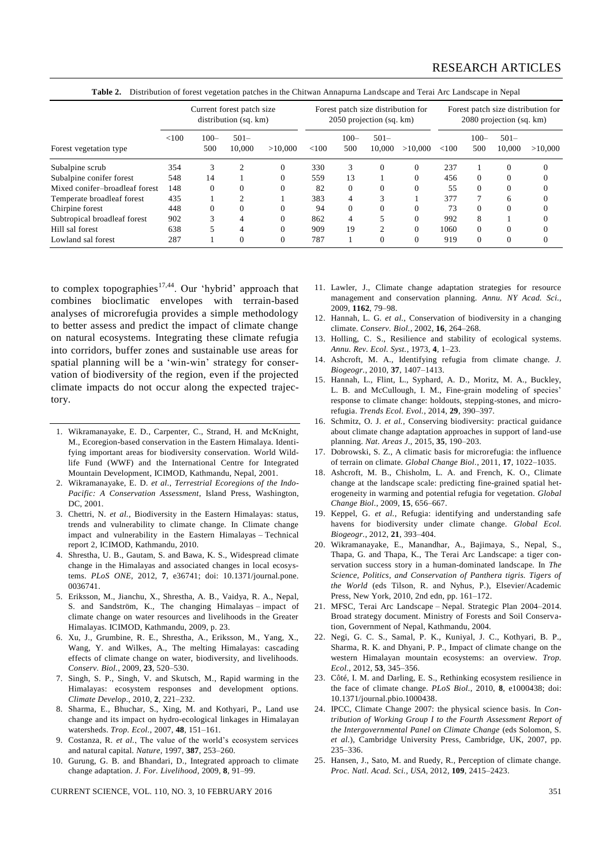# RESEARCH ARTICLES

| Forest vegetation type         | Current forest patch size<br>distribution (sq. km) |                |                   |         | Forest patch size distribution for<br>2050 projection (sq. km) |                |                   |          | Forest patch size distribution for<br>2080 projection (sq. km) |                |                   |          |
|--------------------------------|----------------------------------------------------|----------------|-------------------|---------|----------------------------------------------------------------|----------------|-------------------|----------|----------------------------------------------------------------|----------------|-------------------|----------|
|                                | < 100                                              | $100 -$<br>500 | $501 -$<br>10.000 | >10,000 | < 100                                                          | $100 -$<br>500 | $501 -$<br>10,000 | >10,000  | ${<}100$                                                       | $100 -$<br>500 | $501 -$<br>10,000 | >10,000  |
| Subalpine scrub                | 354                                                | 3              | $\overline{c}$    |         | 330                                                            | 3              | $\Omega$          | $\Omega$ | 237                                                            |                | $\Omega$          | $\Omega$ |
| Subalpine conifer forest       | 548                                                | 14             |                   |         | 559                                                            | 13             |                   |          | 456                                                            | $\Omega$       |                   |          |
| Mixed conifer-broadleaf forest | 148                                                | $\Omega$       |                   |         | 82                                                             | $\Omega$       | $\Omega$          |          | 55                                                             | $\Omega$       |                   |          |
| Temperate broadleaf forest     | 435                                                |                |                   |         | 383                                                            | 4              | 3                 |          | 377                                                            | 7              | 6                 |          |
| Chirpine forest                | 448                                                | $\Omega$       |                   |         | 94                                                             | $\Omega$       | $\Omega$          |          | 73                                                             | $\Omega$       |                   |          |
| Subtropical broadleaf forest   | 902                                                |                |                   |         | 862                                                            | 4              |                   | $\Omega$ | 992                                                            | 8              |                   |          |
| Hill sal forest                | 638                                                |                | 4                 |         | 909                                                            | 19             | ↑                 | $\Omega$ | 1060                                                           | $\Omega$       |                   |          |
| Lowland sal forest             | 287                                                |                |                   |         | 787                                                            |                | $\Omega$          | 0        | 919                                                            | $\Omega$       | $\Omega$          |          |

**Table 2.** Distribution of forest vegetation patches in the Chitwan Annapurna Landscape and Terai Arc Landscape in Nepal

to complex topographies<sup>17,44</sup>. Our 'hybrid' approach that combines bioclimatic envelopes with terrain-based analyses of microrefugia provides a simple methodology to better assess and predict the impact of climate change on natural ecosystems. Integrating these climate refugia into corridors, buffer zones and sustainable use areas for spatial planning will be a 'win-win' strategy for conservation of biodiversity of the region, even if the projected climate impacts do not occur along the expected trajectory.

- 1. Wikramanayake, E. D., Carpenter, C., Strand, H. and McKnight, M., Ecoregion-based conservation in the Eastern Himalaya. Identifying important areas for biodiversity conservation. World Wildlife Fund (WWF) and the International Centre for Integrated Mountain Development, ICIMOD, Kathmandu, Nepal, 2001.
- 2. Wikramanayake, E. D. *et al.*, *Terrestrial Ecoregions of the Indo-Pacific: A Conservation Assessment*, Island Press, Washington, DC, 2001.
- 3. Chettri, N. *et al.*, Biodiversity in the Eastern Himalayas: status, trends and vulnerability to climate change. In Climate change impact and vulnerability in the Eastern Himalayas – Technical report 2, ICIMOD, Kathmandu, 2010.
- 4. Shrestha, U. B., Gautam, S. and Bawa, K. S., Widespread climate change in the Himalayas and associated changes in local ecosystems. *PLoS ONE*, 2012, **7**, e36741; doi: 10.1371/journal.pone. 0036741.
- 5. Eriksson, M., Jianchu, X., Shrestha, A. B., Vaidya, R. A., Nepal, S. and Sandström, K., The changing Himalayas – impact of climate change on water resources and livelihoods in the Greater Himalayas. ICIMOD, Kathmandu, 2009, p. 23.
- 6. Xu, J., Grumbine, R. E., Shrestha, A., Eriksson, M., Yang, X., Wang, Y. and Wilkes, A., The melting Himalayas: cascading effects of climate change on water, biodiversity, and livelihoods. *Conserv. Biol.*, 2009, **23**, 520–530.
- 7. Singh, S. P., Singh, V. and Skutsch, M., Rapid warming in the Himalayas: ecosystem responses and development options. *Climate Develop.*, 2010, **2**, 221–232.
- 8. Sharma, E., Bhuchar, S., Xing, M. and Kothyari, P., Land use change and its impact on hydro-ecological linkages in Himalayan watersheds. *Trop. Ecol.*, 2007, **48**, 151–161.
- 9. Costanza, R. *et al.*, The value of the world's ecosystem services and natural capital. *Nature*, 1997, **387**, 253–260.
- 10. Gurung, G. B. and Bhandari, D., Integrated approach to climate change adaptation. *J. For. Livelihood*, 2009, **8**, 91–99.

CURRENT SCIENCE, VOL. 110, NO. 3, 10 FEBRUARY 2016 351

- 11. Lawler, J., Climate change adaptation strategies for resource management and conservation planning. *Annu. NY Acad. Sci.*, 2009, **1162**, 79–98.
- 12. Hannah, L. G. *et al.*, Conservation of biodiversity in a changing climate. *Conserv. Biol.*, 2002, **16**, 264–268.
- 13. Holling, C. S., Resilience and stability of ecological systems. *Annu. Rev. Ecol. Syst.*, 1973, **4**, 1–23.
- 14. Ashcroft, M. A., Identifying refugia from climate change. *J. Biogeogr.*, 2010, **37**, 1407–1413.
- 15. Hannah, L., Flint, L., Syphard, A. D., Moritz, M. A., Buckley, L. B. and McCullough, I. M., Fine-grain modeling of species' response to climate change: holdouts, stepping-stones, and microrefugia. *Trends Ecol. Evol.*, 2014, **29**, 390–397.
- 16. Schmitz, O. J. *et al.*, Conserving biodiversity: practical guidance about climate change adaptation approaches in support of land-use planning. *Nat. Areas J.*, 2015, **35**, 190–203.
- 17. Dobrowski, S. Z., A climatic basis for microrefugia: the influence of terrain on climate. *Global Change Biol.*, 2011, **17**, 1022–1035.
- 18. Ashcroft, M. B., Chisholm, L. A. and French, K. O., Climate change at the landscape scale: predicting fine-grained spatial heterogeneity in warming and potential refugia for vegetation. *Global Change Biol.*, 2009, **15**, 656–667.
- 19. Keppel, G. *et al.*, Refugia: identifying and understanding safe havens for biodiversity under climate change. *Global Ecol. Biogeogr.*, 2012, **21**, 393–404.
- 20. Wikramanayake, E., Manandhar, A., Bajimaya, S., Nepal, S., Thapa, G. and Thapa, K., The Terai Arc Landscape: a tiger conservation success story in a human-dominated landscape. In *The Science, Politics, and Conservation of Panthera tigris. Tigers of the World* (eds Tilson, R. and Nyhus, P.), Elsevier/Academic Press, New York, 2010, 2nd edn, pp. 161–172.
- 21. MFSC, Terai Arc Landscape Nepal. Strategic Plan 2004–2014. Broad strategy document. Ministry of Forests and Soil Conservation, Government of Nepal, Kathmandu, 2004.
- 22. Negi, G. C. S., Samal, P. K., Kuniyal, J. C., Kothyari, B. P., Sharma, R. K. and Dhyani, P. P., Impact of climate change on the western Himalayan mountain ecosystems: an overview. *Trop. Ecol.*, 2012, **53**, 345–356.
- 23. Côté, I. M. and Darling, E. S., Rethinking ecosystem resilience in the face of climate change. *PLoS Biol.*, 2010, **8**, e1000438; doi: 10.1371/journal.pbio.1000438.
- 24. IPCC, Climate Change 2007: the physical science basis. In *Contribution of Working Group I to the Fourth Assessment Report of the Intergovernmental Panel on Climate Change* (eds Solomon, S. *et al.*), Cambridge University Press, Cambridge, UK, 2007, pp. 235–336.
- 25. Hansen, J., Sato, M. and Ruedy, R., Perception of climate change. *Proc. Natl. Acad. Sci., USA*, 2012, **109**, 2415–2423.